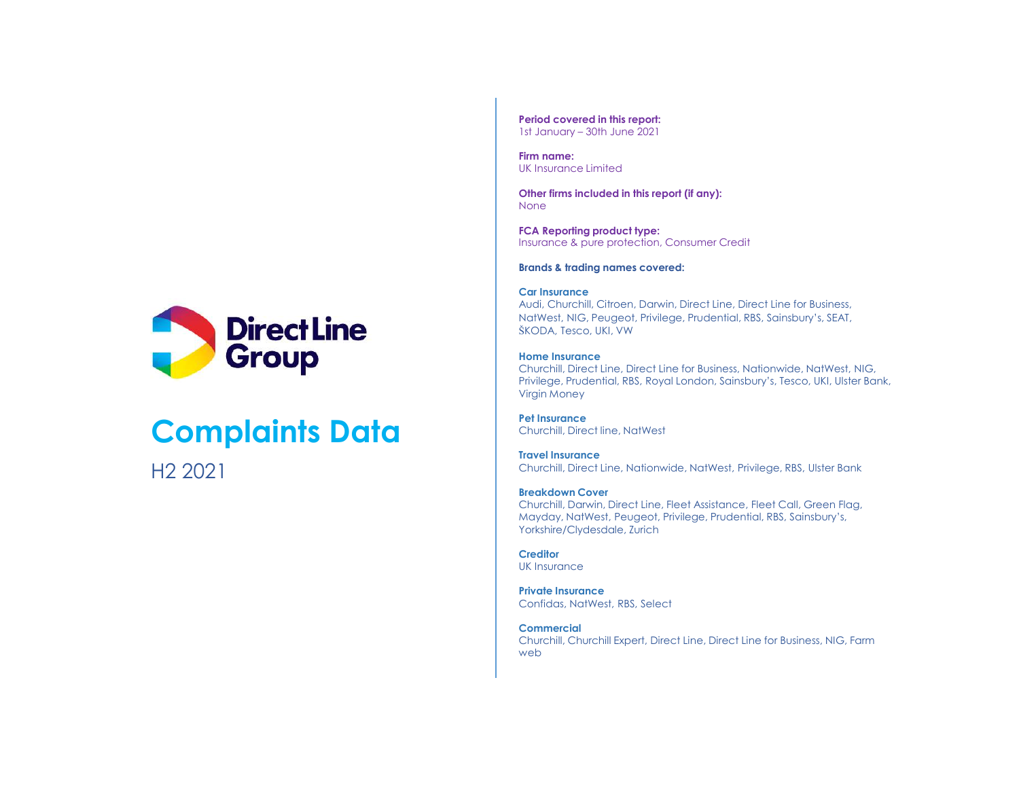

# Complaints Data

H2 2021

Period covered in this report:

Firm name: UK Insurance Limited

Period covered in this report:<br>1st January – 30th June 2021<br>Firm name:<br>UK Insurance Limited<br>Other firms included in this report (if any):<br>None Other firms included in this report (if any): None *None* and *None and Separate Separate Separate Separate Separate Separate Separate Separate Separate Separate Separate Separate Separate Separate Separate Separate Separate Separate Separate Separate Separate Separat* 

FCA Reporting product type: Insurance & pure protection, Consumer Credit

Brands & trading names covered:

#### Car Insurance

Audi, Churchill, Citroen, Darwin, Direct Line, Direct Line for Business, NatWest, NIG, Peugeot, Privilege, Prudential, RBS, Sainsbury's, SEAT, ŠKODA, Tesco, UKI, VW

#### Home Insurance

Churchill, Direct Line, Direct Line for Business, Nationwide, NatWest, NIG, Privilege, Prudential, RBS, Royal London, Sainsbury's, Tesco, UKI, Ulster Bank, Virgin Money Brands & Itading names covered:<br>Car Instructore. Darwin, Direct Line, Direct Line for Business,<br>Audi, Churchill, Citroen, Darwin, Direct Line, Direct Line for Business,<br>NatWest, NIG, Peugeot, Pivilege, Prudential, RBS, Sai

Pet Insurance Churchill, Direct line, NatWest

Travel Insurance Churchill, Direct Line, Nationwide, NatWest, Privilege, RBS, Ulster Bank

## Breakdown Cover

Churchill, Darwin, Direct Line, Fleet Assistance, Fleet Call, Green Flag, Mayday, NatWest, Peugeot, Privilege, Prudential, RBS, Sainsbury's, Yorkshire/Clydesdale, Zurich

**Creditor** UK Insurance

**Private Insurance**<br>Confidas, NatWest, RBS, Select

### **Commercial**

Churchill, Churchill Expert, Direct Line, Direct Line for Business, NIG, Farm web website the contract of the contract of the contract of the contract of the contract of the contract of the